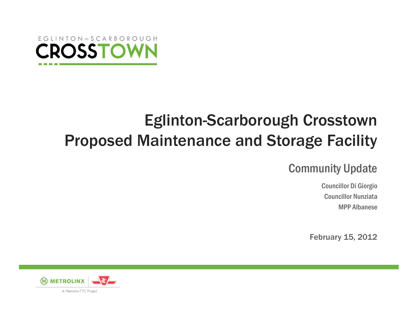

# Eglinton-Scarborough Crosstown Proposed Maintenance and Storage Facility

#### Community Update

Councillor Di Giorgio Councillor NunziataMPP Albanese

February 15, 2012

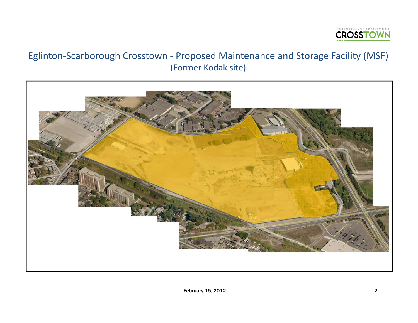

#### Eglinton‐Scarborough Crosstown ‐ Proposed Maintenance and Storage Facility (MSF) (Former Kodak site)

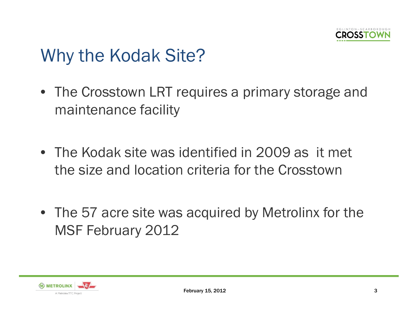

# Why the Kodak Site?

- The Crosstown LRT requires a primary storage and maintenance facility
- The Kodak site was identified in 2009 as it met the size and location criteria for the Crosstown
- The 57 acre site was acquired by Metrolinx for the MSF February 2012

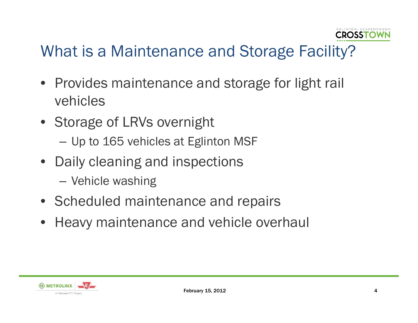

### What is a Maintenance and Storage Facility?

- Provides maintenance and storage for light rail vehicles
- Storage of LRVs overnight
	- Up to 165 vehicles at Eglinton MSF
- Daily cleaning and inspections — Vehicle washing
- Scheduled maintenance and repairs
- Heavy maintenance and vehicle overhaul

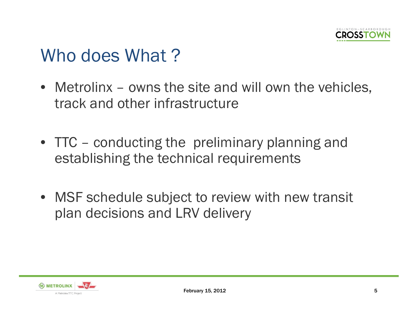

## Who does What?

- Metrolinx owns the site and will own the vehicles, track and other infrastructure
- TTC conducting the preliminary planning and establishing the technical requirements
- MSF schedule subject to review with new transit plan decisions and LRV delivery